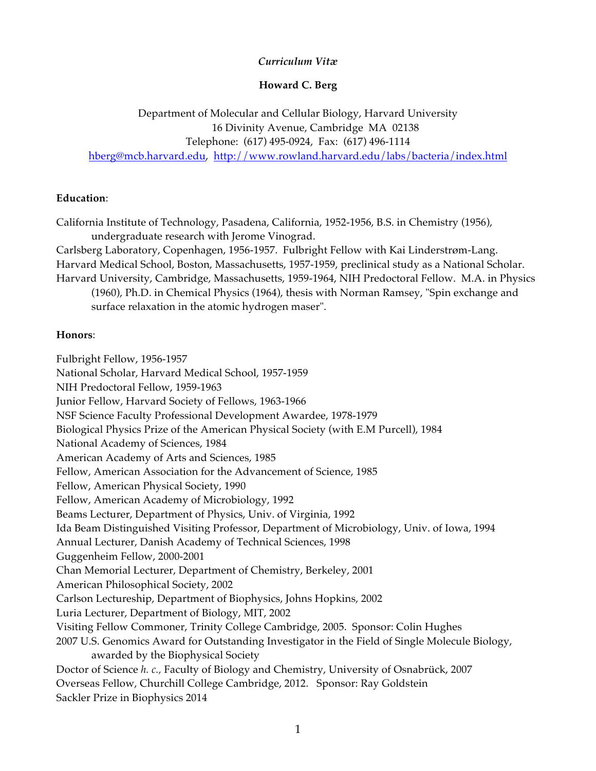### *Curriculum Vitæ*

### **Howard C. Berg**

Department of Molecular and Cellular Biology, Harvard University 16 Divinity Avenue, Cambridge MA 02138 Telephone: (617) 495-0924, Fax: (617) 496-1114 hberg@mcb.harvard.edu, http://www.rowland.harvard.edu/labs/bacteria/index.html

#### **Education**:

California Institute of Technology, Pasadena, California, 1952-1956, B.S. in Chemistry (1956), undergraduate research with Jerome Vinograd.

Carlsberg Laboratory, Copenhagen, 1956-1957. Fulbright Fellow with Kai Linderstrøm-Lang. Harvard Medical School, Boston, Massachusetts, 1957-1959, preclinical study as a National Scholar. Harvard University, Cambridge, Massachusetts, 1959-1964, NIH Predoctoral Fellow. M.A. in Physics (1960), Ph.D. in Chemical Physics (1964), thesis with Norman Ramsey, "Spin exchange and surface relaxation in the atomic hydrogen maser".

#### **Honors**:

Fulbright Fellow, 1956-1957 National Scholar, Harvard Medical School, 1957-1959 NIH Predoctoral Fellow, 1959-1963 Junior Fellow, Harvard Society of Fellows, 1963-1966 NSF Science Faculty Professional Development Awardee, 1978-1979 Biological Physics Prize of the American Physical Society (with E.M Purcell), 1984 National Academy of Sciences, 1984 American Academy of Arts and Sciences, 1985 Fellow, American Association for the Advancement of Science, 1985 Fellow, American Physical Society, 1990 Fellow, American Academy of Microbiology, 1992 Beams Lecturer, Department of Physics, Univ. of Virginia, 1992 Ida Beam Distinguished Visiting Professor, Department of Microbiology, Univ. of Iowa, 1994 Annual Lecturer, Danish Academy of Technical Sciences, 1998 Guggenheim Fellow, 2000-2001 Chan Memorial Lecturer, Department of Chemistry, Berkeley, 2001 American Philosophical Society, 2002 Carlson Lectureship, Department of Biophysics, Johns Hopkins, 2002 Luria Lecturer, Department of Biology, MIT, 2002 Visiting Fellow Commoner, Trinity College Cambridge, 2005. Sponsor: Colin Hughes 2007 U.S. Genomics Award for Outstanding Investigator in the Field of Single Molecule Biology, awarded by the Biophysical Society Doctor of Science *h. c.,* Faculty of Biology and Chemistry, University of Osnabrück, 2007 Overseas Fellow, Churchill College Cambridge, 2012. Sponsor: Ray Goldstein Sackler Prize in Biophysics 2014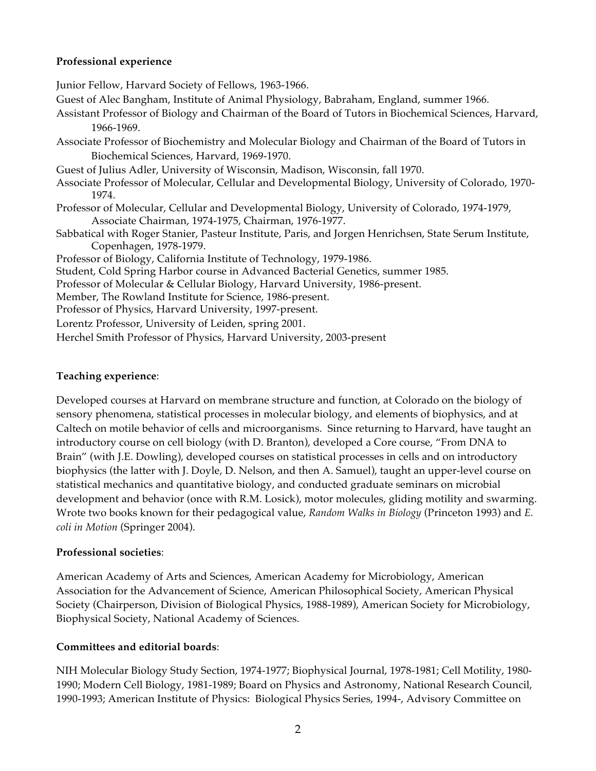### **Professional experience**

Junior Fellow, Harvard Society of Fellows, 1963-1966. Guest of Alec Bangham, Institute of Animal Physiology, Babraham, England, summer 1966. Assistant Professor of Biology and Chairman of the Board of Tutors in Biochemical Sciences, Harvard, 1966-1969. Associate Professor of Biochemistry and Molecular Biology and Chairman of the Board of Tutors in Biochemical Sciences, Harvard, 1969-1970. Guest of Julius Adler, University of Wisconsin, Madison, Wisconsin, fall 1970. Associate Professor of Molecular, Cellular and Developmental Biology, University of Colorado, 1970- 1974. Professor of Molecular, Cellular and Developmental Biology, University of Colorado, 1974-1979, Associate Chairman, 1974-1975, Chairman, 1976-1977. Sabbatical with Roger Stanier, Pasteur Institute, Paris, and Jorgen Henrichsen, State Serum Institute, Copenhagen, 1978-1979. Professor of Biology, California Institute of Technology, 1979-1986. Student, Cold Spring Harbor course in Advanced Bacterial Genetics, summer 1985. Professor of Molecular & Cellular Biology, Harvard University, 1986-present. Member, The Rowland Institute for Science, 1986-present. Professor of Physics, Harvard University, 1997-present. Lorentz Professor, University of Leiden, spring 2001. Herchel Smith Professor of Physics, Harvard University, 2003-present

## **Teaching experience**:

Developed courses at Harvard on membrane structure and function, at Colorado on the biology of sensory phenomena, statistical processes in molecular biology, and elements of biophysics, and at Caltech on motile behavior of cells and microorganisms. Since returning to Harvard, have taught an introductory course on cell biology (with D. Branton), developed a Core course, "From DNA to Brain" (with J.E. Dowling), developed courses on statistical processes in cells and on introductory biophysics (the latter with J. Doyle, D. Nelson, and then A. Samuel), taught an upper-level course on statistical mechanics and quantitative biology, and conducted graduate seminars on microbial development and behavior (once with R.M. Losick), motor molecules, gliding motility and swarming. Wrote two books known for their pedagogical value, *Random Walks in Biology* (Princeton 1993) and *E. coli in Motion* (Springer 2004).

## **Professional societies**:

American Academy of Arts and Sciences, American Academy for Microbiology, American Association for the Advancement of Science, American Philosophical Society, American Physical Society (Chairperson, Division of Biological Physics, 1988-1989), American Society for Microbiology, Biophysical Society, National Academy of Sciences.

## **Committees and editorial boards**:

NIH Molecular Biology Study Section, 1974-1977; Biophysical Journal, 1978-1981; Cell Motility, 1980- 1990; Modern Cell Biology, 1981-1989; Board on Physics and Astronomy, National Research Council, 1990-1993; American Institute of Physics: Biological Physics Series, 1994-, Advisory Committee on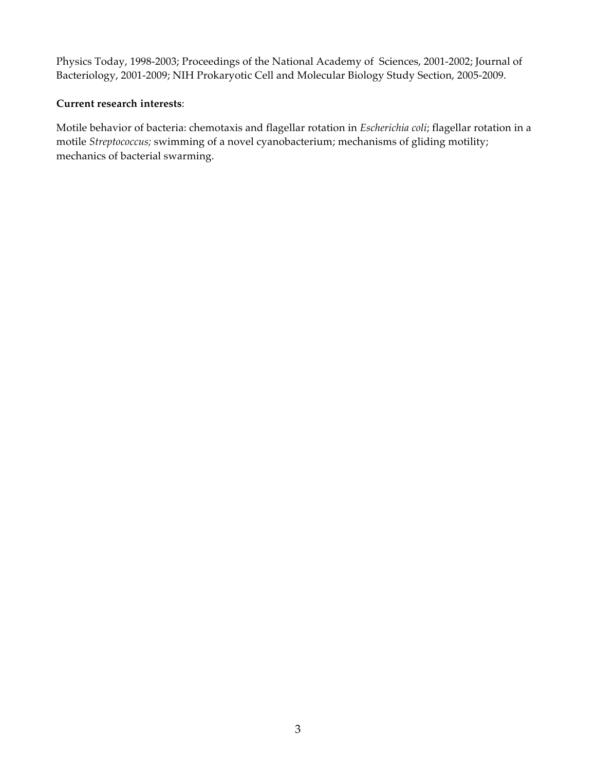Physics Today, 1998-2003; Proceedings of the National Academy of Sciences, 2001-2002; Journal of Bacteriology, 2001-2009; NIH Prokaryotic Cell and Molecular Biology Study Section, 2005-2009.

### **Current research interests**:

Motile behavior of bacteria: chemotaxis and flagellar rotation in *Escherichia coli*; flagellar rotation in a motile *Streptococcus;* swimming of a novel cyanobacterium; mechanisms of gliding motility; mechanics of bacterial swarming.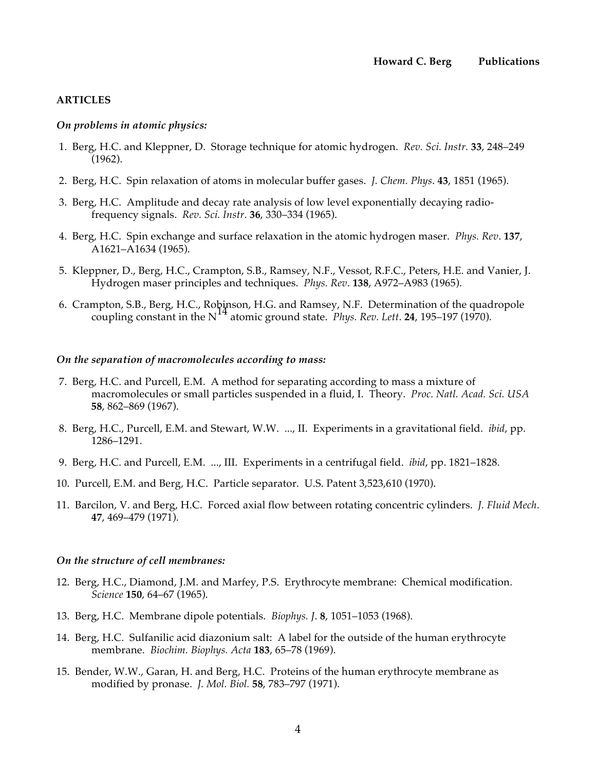#### **ARTICLES**

#### *On problems in atomic physics:*

- 1. Berg, H.C. and Kleppner, D. Storage technique for atomic hydrogen. *Rev. Sci. Instr.* **33**, 248–249 (1962).
- 2. Berg, H.C. Spin relaxation of atoms in molecular buffer gases. *J. Chem. Phys*. **43**, 1851 (1965).
- 3. Berg, H.C. Amplitude and decay rate analysis of low level exponentially decaying radiofrequency signals. *Rev. Sci. Instr*. **36**, 330–334 (1965).
- 4. Berg, H.C. Spin exchange and surface relaxation in the atomic hydrogen maser. *Phys. Rev*. **137**, A1621–A1634 (1965).
- 5. Kleppner, D., Berg, H.C., Crampton, S.B., Ramsey, N.F., Vessot, R.F.C., Peters, H.E. and Vanier, J. Hydrogen maser principles and techniques. *Phys. Rev*. **138**, A972–A983 (1965).
- 6. Crampton, S.B., Berg, H.C., Robinson, H.G. and Ramsey, N.F. Determination of the quadropole coupling constant in the  $N^{14}$  atomic ground state. *Phys. Rev. Lett.* **24**, 195–197 (1970).

#### *On the separation of macromolecules according to mass:*

- 7. Berg, H.C. and Purcell, E.M. A method for separating according to mass a mixture of macromolecules or small particles suspended in a fluid, I. Theory. *Proc. Natl. Acad. Sci. USA* **58**, 862–869 (1967).
- 8. Berg, H.C., Purcell, E.M. and Stewart, W.W. ..., II. Experiments in a gravitational field. *ibid*, pp. 1286–1291.
- 9. Berg, H.C. and Purcell, E.M. ..., III. Experiments in a centrifugal field. *ibid*, pp. 1821–1828.
- 10. Purcell, E.M. and Berg, H.C. Particle separator. U.S. Patent 3,523,610 (1970).
- 11. Barcilon, V. and Berg, H.C. Forced axial flow between rotating concentric cylinders. *J. Fluid Mech*. **47**, 469–479 (1971).

#### *On the structure of cell membranes:*

- 12. Berg, H.C., Diamond, J.M. and Marfey, P.S. Erythrocyte membrane: Chemical modification. *Science* **150**, 64–67 (1965).
- 13. Berg, H.C. Membrane dipole potentials. *Biophys. J*. **8**, 1051–1053 (1968).
- 14. Berg, H.C. Sulfanilic acid diazonium salt: A label for the outside of the human erythrocyte membrane. *Biochim. Biophys. Acta* **183**, 65–78 (1969).
- 15. Bender, W.W., Garan, H. and Berg, H.C. Proteins of the human erythrocyte membrane as modified by pronase. *J. Mol. Biol.* **58**, 783–797 (1971).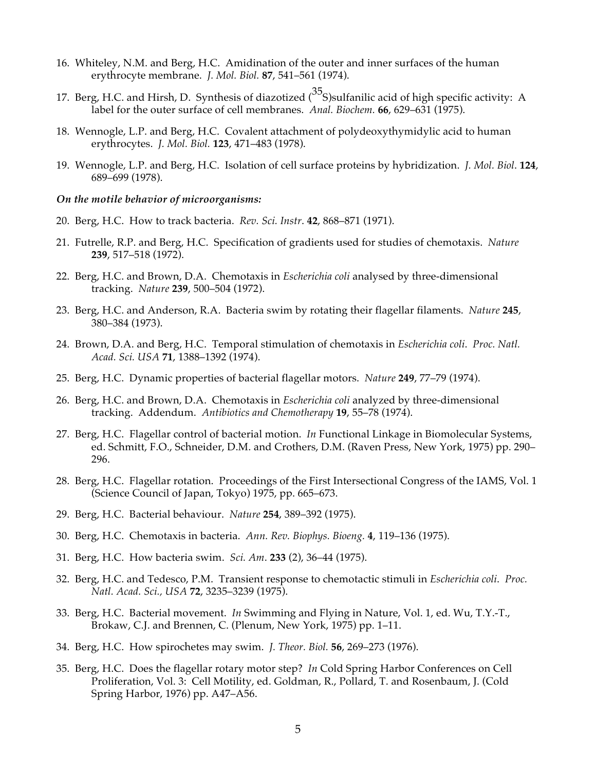- 16. Whiteley, N.M. and Berg, H.C. Amidination of the outer and inner surfaces of the human erythrocyte membrane. *J. Mol. Biol.* **87**, 541–561 (1974).
- 17. Berg, H.C. and Hirsh, D. Synthesis of diazotized  $\binom{35}{5}$ sulfanilic acid of high specific activity: A label for the outer surface of cell membranes. *Anal. Biochem.* **66**, 629–631 (1975).
- 18. Wennogle, L.P. and Berg, H.C. Covalent attachment of polydeoxythymidylic acid to human erythrocytes. *J. Mol. Biol.* **123**, 471–483 (1978).
- 19. Wennogle, L.P. and Berg, H.C. Isolation of cell surface proteins by hybridization. *J. Mol. Biol*. **124**, 689–699 (1978).

#### *On the motile behavior of microorganisms:*

- 20. Berg, H.C. How to track bacteria. *Rev. Sci. Instr*. **42**, 868–871 (1971).
- 21. Futrelle, R.P. and Berg, H.C. Specification of gradients used for studies of chemotaxis. *Nature* **239**, 517–518 (1972).
- 22. Berg, H.C. and Brown, D.A. Chemotaxis in *Escherichia coli* analysed by three-dimensional tracking. *Nature* **239**, 500–504 (1972).
- 23. Berg, H.C. and Anderson, R.A. Bacteria swim by rotating their flagellar filaments. *Nature* **245**, 380–384 (1973).
- 24. Brown, D.A. and Berg, H.C. Temporal stimulation of chemotaxis in *Escherichia coli*. *Proc. Natl. Acad. Sci. USA* **71**, 1388–1392 (1974).
- 25. Berg, H.C. Dynamic properties of bacterial flagellar motors. *Nature* **249**, 77–79 (1974).
- 26. Berg, H.C. and Brown, D.A. Chemotaxis in *Escherichia coli* analyzed by three-dimensional tracking. Addendum. *Antibiotics and Chemotherapy* **19**, 55–78 (1974).
- 27. Berg, H.C. Flagellar control of bacterial motion. *In* Functional Linkage in Biomolecular Systems, ed. Schmitt, F.O., Schneider, D.M. and Crothers, D.M. (Raven Press, New York, 1975) pp. 290– 296.
- 28. Berg, H.C. Flagellar rotation. Proceedings of the First Intersectional Congress of the IAMS, Vol. 1 (Science Council of Japan, Tokyo) 1975, pp. 665–673.
- 29. Berg, H.C. Bacterial behaviour. *Nature* **254**, 389–392 (1975).
- 30. Berg, H.C. Chemotaxis in bacteria. *Ann. Rev. Biophys. Bioeng.* **4**, 119–136 (1975).
- 31. Berg, H.C. How bacteria swim. *Sci. Am*. **233** (2), 36–44 (1975).
- 32. Berg, H.C. and Tedesco, P.M. Transient response to chemotactic stimuli in *Escherichia coli*. *Proc. Natl. Acad. Sci., USA* **72**, 3235–3239 (1975).
- 33. Berg, H.C. Bacterial movement. *In* Swimming and Flying in Nature, Vol. 1, ed. Wu, T.Y.-T., Brokaw, C.J. and Brennen, C. (Plenum, New York, 1975) pp. 1–11.
- 34. Berg, H.C. How spirochetes may swim. *J. Theor. Biol.* **56**, 269–273 (1976).
- 35. Berg, H.C. Does the flagellar rotary motor step? *In* Cold Spring Harbor Conferences on Cell Proliferation, Vol. 3: Cell Motility, ed. Goldman, R., Pollard, T. and Rosenbaum, J. (Cold Spring Harbor, 1976) pp. A47–A56.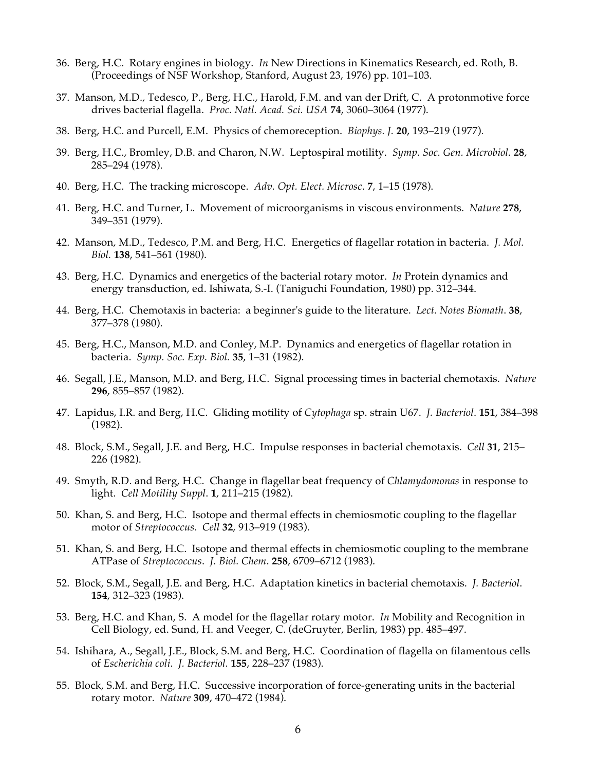- 36. Berg, H.C. Rotary engines in biology. *In* New Directions in Kinematics Research, ed. Roth, B. (Proceedings of NSF Workshop, Stanford, August 23, 1976) pp. 101–103.
- 37. Manson, M.D., Tedesco, P., Berg, H.C., Harold, F.M. and van der Drift, C. A protonmotive force drives bacterial flagella. *Proc. Natl. Acad. Sci. USA* **74**, 3060–3064 (1977).
- 38. Berg, H.C. and Purcell, E.M. Physics of chemoreception. *Biophys. J.* **20**, 193–219 (1977).
- 39. Berg, H.C., Bromley, D.B. and Charon, N.W. Leptospiral motility. *Symp. Soc. Gen. Microbiol.* **28**, 285–294 (1978).
- 40. Berg, H.C. The tracking microscope. *Adv. Opt. Elect. Microsc*. **7**, 1–15 (1978).
- 41. Berg, H.C. and Turner, L. Movement of microorganisms in viscous environments. *Nature* **278**, 349–351 (1979).
- 42. Manson, M.D., Tedesco, P.M. and Berg, H.C. Energetics of flagellar rotation in bacteria. *J. Mol. Biol.* **138**, 541–561 (1980).
- 43. Berg, H.C. Dynamics and energetics of the bacterial rotary motor. *In* Protein dynamics and energy transduction, ed. Ishiwata, S.-I. (Taniguchi Foundation, 1980) pp. 312–344.
- 44. Berg, H.C. Chemotaxis in bacteria: a beginner's guide to the literature. *Lect. Notes Biomath*. **38**, 377–378 (1980).
- 45. Berg, H.C., Manson, M.D. and Conley, M.P. Dynamics and energetics of flagellar rotation in bacteria. *Symp. Soc. Exp. Biol.* **35**, 1–31 (1982).
- 46. Segall, J.E., Manson, M.D. and Berg, H.C. Signal processing times in bacterial chemotaxis. *Nature* **296**, 855–857 (1982).
- 47. Lapidus, I.R. and Berg, H.C. Gliding motility of *Cytophaga* sp. strain U67. *J. Bacteriol*. **151**, 384–398 (1982).
- 48. Block, S.M., Segall, J.E. and Berg, H.C. Impulse responses in bacterial chemotaxis. *Cell* **31**, 215– 226 (1982).
- 49. Smyth, R.D. and Berg, H.C. Change in flagellar beat frequency of *Chlamydomonas* in response to light. *Cell Motility Suppl*. **1**, 211–215 (1982).
- 50. Khan, S. and Berg, H.C. Isotope and thermal effects in chemiosmotic coupling to the flagellar motor of *Streptococcus*. *Cell* **32**, 913–919 (1983).
- 51. Khan, S. and Berg, H.C. Isotope and thermal effects in chemiosmotic coupling to the membrane ATPase of *Streptococcus*. *J. Biol. Chem*. **258**, 6709–6712 (1983).
- 52. Block, S.M., Segall, J.E. and Berg, H.C. Adaptation kinetics in bacterial chemotaxis. *J. Bacteriol*. **154**, 312–323 (1983).
- 53. Berg, H.C. and Khan, S. A model for the flagellar rotary motor. *In* Mobility and Recognition in Cell Biology, ed. Sund, H. and Veeger, C. (deGruyter, Berlin, 1983) pp. 485–497.
- 54. Ishihara, A., Segall, J.E., Block, S.M. and Berg, H.C. Coordination of flagella on filamentous cells of *Escherichia coli*. *J. Bacteriol.* **155**, 228–237 (1983).
- 55. Block, S.M. and Berg, H.C. Successive incorporation of force-generating units in the bacterial rotary motor. *Nature* **309**, 470–472 (1984).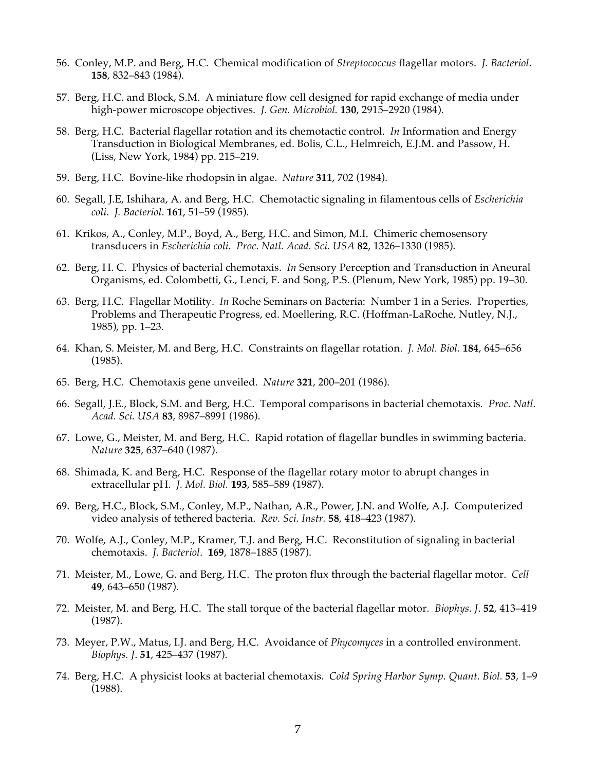- 56. Conley, M.P. and Berg, H.C. Chemical modification of *Streptococcus* flagellar motors. *J. Bacteriol*. **158**, 832–843 (1984).
- 57. Berg, H.C. and Block, S.M. A miniature flow cell designed for rapid exchange of media under high-power microscope objectives. *J. Gen. Microbiol.* **130**, 2915–2920 (1984).
- 58. Berg, H.C. Bacterial flagellar rotation and its chemotactic control. *In* Information and Energy Transduction in Biological Membranes, ed. Bolis, C.L., Helmreich, E.J.M. and Passow, H. (Liss, New York, 1984) pp. 215–219.
- 59. Berg, H.C. Bovine-like rhodopsin in algae. *Nature* **311**, 702 (1984).
- 60. Segall, J.E, Ishihara, A. and Berg, H.C. Chemotactic signaling in filamentous cells of *Escherichia coli*. *J. Bacteriol*. **161**, 51–59 (1985).
- 61. Krikos, A., Conley, M.P., Boyd, A., Berg, H.C. and Simon, M.I. Chimeric chemosensory transducers in *Escherichia coli*. *Proc. Natl. Acad. Sci. USA* **82**, 1326–1330 (1985).
- 62. Berg, H. C. Physics of bacterial chemotaxis. *In* Sensory Perception and Transduction in Aneural Organisms, ed. Colombetti, G., Lenci, F. and Song, P.S. (Plenum, New York, 1985) pp. 19–30.
- 63. Berg, H.C. Flagellar Motility. *In* Roche Seminars on Bacteria: Number 1 in a Series. Properties, Problems and Therapeutic Progress, ed. Moellering, R.C. (Hoffman-LaRoche, Nutley, N.J., 1985), pp. 1–23.
- 64. Khan, S. Meister, M. and Berg, H.C. Constraints on flagellar rotation. *J. Mol. Biol.* **184**, 645–656 (1985).
- 65. Berg, H.C. Chemotaxis gene unveiled. *Nature* **321**, 200–201 (1986).
- 66. Segall, J.E., Block, S.M. and Berg, H.C. Temporal comparisons in bacterial chemotaxis. *Proc. Natl. Acad. Sci. USA* **83**, 8987–8991 (1986).
- 67. Lowe, G., Meister, M. and Berg, H.C. Rapid rotation of flagellar bundles in swimming bacteria. *Nature* **325**, 637–640 (1987).
- 68. Shimada, K. and Berg, H.C. Response of the flagellar rotary motor to abrupt changes in extracellular pH. *J. Mol. Biol.* **193**, 585–589 (1987).
- 69. Berg, H.C., Block, S.M., Conley, M.P., Nathan, A.R., Power, J.N. and Wolfe, A.J. Computerized video analysis of tethered bacteria. *Rev. Sci. Instr.* **58**, 418–423 (1987).
- 70. Wolfe, A.J., Conley, M.P., Kramer, T.J. and Berg, H.C. Reconstitution of signaling in bacterial chemotaxis. *J. Bacteriol*. **169**, 1878–1885 (1987).
- 71. Meister, M., Lowe, G. and Berg, H.C. The proton flux through the bacterial flagellar motor. *Cell* **49**, 643–650 (1987).
- 72. Meister, M. and Berg, H.C. The stall torque of the bacterial flagellar motor. *Biophys. J*. **52**, 413–419 (1987).
- 73. Meyer, P.W., Matus, I.J. and Berg, H.C. Avoidance of *Phycomyces* in a controlled environment. *Biophys. J*. **51**, 425–437 (1987).
- 74. Berg, H.C. A physicist looks at bacterial chemotaxis. *Cold Spring Harbor Symp. Quant. Biol.* **53**, 1–9 (1988).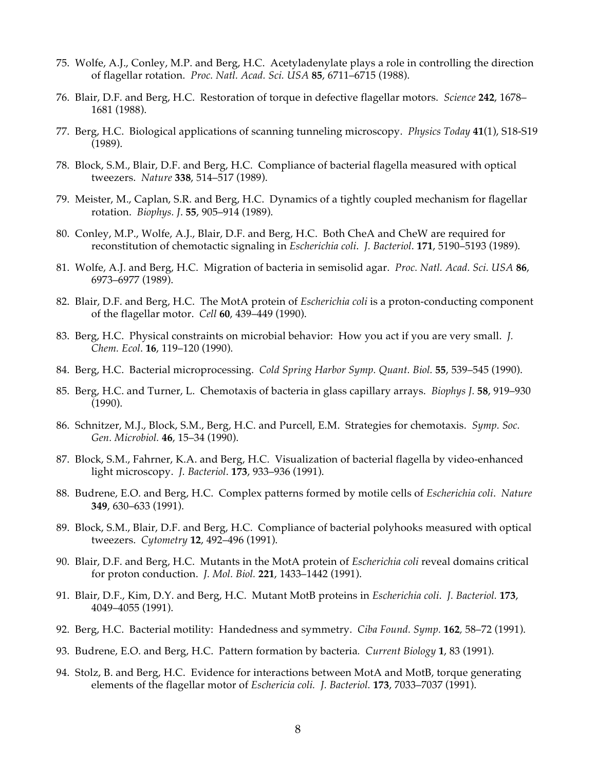- 75. Wolfe, A.J., Conley, M.P. and Berg, H.C. Acetyladenylate plays a role in controlling the direction of flagellar rotation. *Proc. Natl. Acad. Sci. USA* **85**, 6711–6715 (1988).
- 76. Blair, D.F. and Berg, H.C. Restoration of torque in defective flagellar motors. *Science* **242**, 1678– 1681 (1988).
- 77. Berg, H.C. Biological applications of scanning tunneling microscopy. *Physics Today* **41**(1), S18-S19 (1989).
- 78. Block, S.M., Blair, D.F. and Berg, H.C. Compliance of bacterial flagella measured with optical tweezers. *Nature* **338**, 514–517 (1989).
- 79. Meister, M., Caplan, S.R. and Berg, H.C. Dynamics of a tightly coupled mechanism for flagellar rotation. *Biophys. J*. **55**, 905–914 (1989).
- 80. Conley, M.P., Wolfe, A.J., Blair, D.F. and Berg, H.C. Both CheA and CheW are required for reconstitution of chemotactic signaling in *Escherichia coli*. *J. Bacteriol*. **171**, 5190–5193 (1989).
- 81. Wolfe, A.J. and Berg, H.C. Migration of bacteria in semisolid agar. *Proc. Natl. Acad. Sci. USA* **86**, 6973–6977 (1989).
- 82. Blair, D.F. and Berg, H.C. The MotA protein of *Escherichia coli* is a proton-conducting component of the flagellar motor. *Cell* **60**, 439–449 (1990).
- 83. Berg, H.C. Physical constraints on microbial behavior: How you act if you are very small. *J. Chem. Ecol*. **16**, 119–120 (1990).
- 84. Berg, H.C. Bacterial microprocessing. *Cold Spring Harbor Symp. Quant. Biol.* **55**, 539–545 (1990).
- 85. Berg, H.C. and Turner, L. Chemotaxis of bacteria in glass capillary arrays. *Biophys J.* **58**, 919–930 (1990).
- 86. Schnitzer, M.J., Block, S.M., Berg, H.C. and Purcell, E.M. Strategies for chemotaxis. *Symp. Soc. Gen. Microbiol.* **46**, 15–34 (1990).
- 87. Block, S.M., Fahrner, K.A. and Berg, H.C. Visualization of bacterial flagella by video-enhanced light microscopy. *J. Bacteriol*. **173**, 933–936 (1991).
- 88. Budrene, E.O. and Berg, H.C. Complex patterns formed by motile cells of *Escherichia coli*. *Nature* **349**, 630–633 (1991).
- 89. Block, S.M., Blair, D.F. and Berg, H.C. Compliance of bacterial polyhooks measured with optical tweezers. *Cytometry* **12**, 492–496 (1991).
- 90. Blair, D.F. and Berg, H.C. Mutants in the MotA protein of *Escherichia coli* reveal domains critical for proton conduction. *J. Mol. Biol.* **221**, 1433–1442 (1991).
- 91. Blair, D.F., Kim, D.Y. and Berg, H.C. Mutant MotB proteins in *Escherichia coli*. *J. Bacteriol.* **173**, 4049–4055 (1991).
- 92. Berg, H.C. Bacterial motility: Handedness and symmetry. *Ciba Found. Symp.* **162***,* 58–72 (1991).
- 93. Budrene, E.O. and Berg, H.C. Pattern formation by bacteria*. Current Biology* **1**, 83 (1991).
- 94. Stolz, B. and Berg, H.C. Evidence for interactions between MotA and MotB, torque generating elements of the flagellar motor of *Eschericia coli. J. Bacteriol.* **173**, 7033–7037 (1991).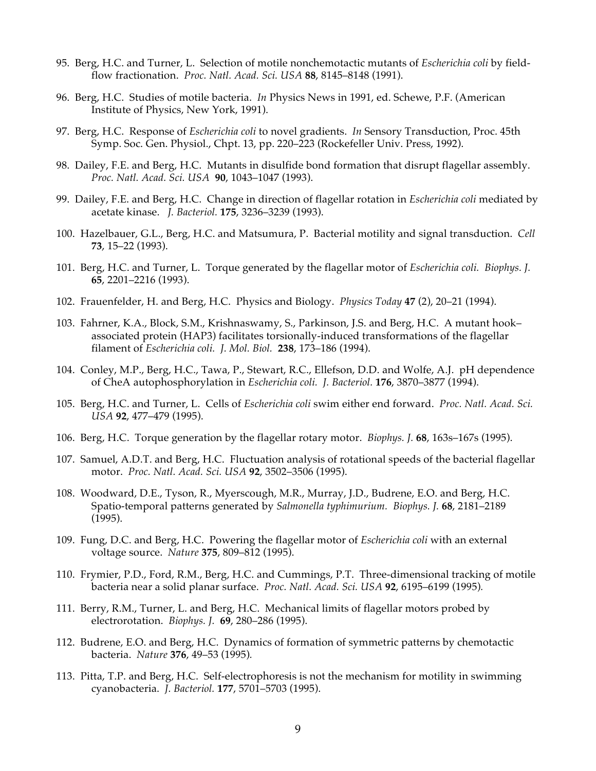- 95. Berg, H.C. and Turner, L. Selection of motile nonchemotactic mutants of *Escherichia coli* by fieldflow fractionation. *Proc. Natl. Acad. Sci. USA* **88**, 8145–8148 (1991).
- 96. Berg, H.C. Studies of motile bacteria. *In* Physics News in 1991, ed. Schewe, P.F. (American Institute of Physics, New York, 1991).
- 97. Berg, H.C. Response of *Escherichia coli* to novel gradients. *In* Sensory Transduction, Proc. 45th Symp. Soc. Gen. Physiol., Chpt. 13, pp. 220–223 (Rockefeller Univ. Press, 1992).
- 98. Dailey, F.E. and Berg, H.C. Mutants in disulfide bond formation that disrupt flagellar assembly. *Proc. Natl. Acad. Sci. USA* **90**, 1043–1047 (1993).
- 99. Dailey, F.E. and Berg, H.C. Change in direction of flagellar rotation in *Escherichia coli* mediated by acetate kinase. *J. Bacteriol.* **175**, 3236–3239 (1993).
- 100. Hazelbauer, G.L., Berg, H.C. and Matsumura, P. Bacterial motility and signal transduction. *Cell* **73**, 15–22 (1993).
- 101. Berg, H.C. and Turner, L. Torque generated by the flagellar motor of *Escherichia coli. Biophys. J.* **65**, 2201–2216 (1993).
- 102. Frauenfelder, H. and Berg, H.C. Physics and Biology. *Physics Today* **47** (2), 20–21 (1994).
- 103. Fahrner, K.A., Block, S.M., Krishnaswamy, S., Parkinson, J.S. and Berg, H.C. A mutant hook– associated protein (HAP3) facilitates torsionally-induced transformations of the flagellar filament of *Escherichia coli. J. Mol. Biol.* **238**, 173–186 (1994).
- 104. Conley, M.P., Berg, H.C., Tawa, P., Stewart, R.C., Ellefson, D.D. and Wolfe, A.J. pH dependence of CheA autophosphorylation in *Escherichia coli. J. Bacteriol.* **176**, 3870–3877 (1994).
- 105. Berg, H.C. and Turner, L. Cells of *Escherichia coli* swim either end forward. *Proc. Natl. Acad. Sci. USA* **92**, 477–479 (1995).
- 106. Berg, H.C. Torque generation by the flagellar rotary motor. *Biophys. J.* **68**, 163s–167s (1995).
- 107. Samuel, A.D.T. and Berg, H.C. Fluctuation analysis of rotational speeds of the bacterial flagellar motor. *Proc. Natl. Acad. Sci. USA* **92**, 3502–3506 (1995).
- 108. Woodward, D.E., Tyson, R., Myerscough, M.R., Murray, J.D., Budrene, E.O. and Berg, H.C. Spatio-temporal patterns generated by *Salmonella typhimurium. Biophys. J.* **68**, 2181–2189 (1995).
- 109. Fung, D.C. and Berg, H.C. Powering the flagellar motor of *Escherichia coli* with an external voltage source. *Nature* **375**, 809–812 (1995).
- 110. Frymier, P.D., Ford, R.M., Berg, H.C. and Cummings, P.T. Three-dimensional tracking of motile bacteria near a solid planar surface. *Proc. Natl. Acad. Sci. USA* **92**, 6195–6199 (1995)*.*
- 111. Berry, R.M., Turner, L. and Berg, H.C. Mechanical limits of flagellar motors probed by electrorotation. *Biophys. J.* **69**, 280–286 (1995).
- 112. Budrene, E.O. and Berg, H.C. Dynamics of formation of symmetric patterns by chemotactic bacteria. *Nature* **376**, 49–53 (1995)*.*
- 113. Pitta, T.P. and Berg, H.C. Self-electrophoresis is not the mechanism for motility in swimming cyanobacteria. *J. Bacteriol.* **177**, 5701–5703 (1995).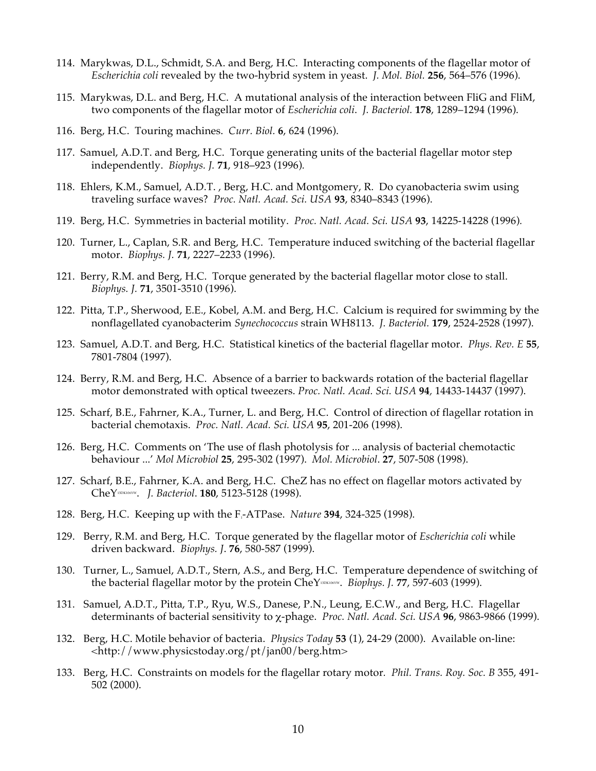- 114. Marykwas, D.L., Schmidt, S.A. and Berg, H.C. Interacting components of the flagellar motor of *Escherichia coli* revealed by the two-hybrid system in yeast. *J. Mol. Biol.* **256**, 564–576 (1996).
- 115. Marykwas, D.L. and Berg, H.C. A mutational analysis of the interaction between FliG and FliM, two components of the flagellar motor of *Escherichia coli*. *J. Bacteriol.* **178**, 1289–1294 (1996).
- 116. Berg, H.C. Touring machines. *Curr. Biol.* **6**, 624 (1996).
- 117. Samuel, A.D.T. and Berg, H.C. Torque generating units of the bacterial flagellar motor step independently. *Biophys. J.* **71**, 918–923 (1996)*.*
- 118. Ehlers, K.M., Samuel, A.D.T. , Berg, H.C. and Montgomery, R. Do cyanobacteria swim using traveling surface waves? *Proc. Natl. Acad. Sci. USA* **93**, 8340–8343 (1996).
- 119. Berg, H.C. Symmetries in bacterial motility. *Proc. Natl. Acad. Sci. USA* **93**, 14225-14228 (1996)*.*
- 120. Turner, L., Caplan, S.R. and Berg, H.C. Temperature induced switching of the bacterial flagellar motor. *Biophys. J.* **71**, 2227–2233 (1996).
- 121. Berry, R.M. and Berg, H.C. Torque generated by the bacterial flagellar motor close to stall. *Biophys. J.* **71**, 3501-3510 (1996).
- 122. Pitta, T.P., Sherwood, E.E., Kobel, A.M. and Berg, H.C. Calcium is required for swimming by the nonflagellated cyanobacterim *Synechococcus* strain WH8113. *J. Bacteriol.* **179**, 2524-2528 (1997).
- 123. Samuel, A.D.T. and Berg, H.C. Statistical kinetics of the bacterial flagellar motor. *Phys. Rev. E* **55**, 7801-7804 (1997).
- 124. Berry, R.M. and Berg, H.C. Absence of a barrier to backwards rotation of the bacterial flagellar motor demonstrated with optical tweezers. *Proc. Natl. Acad. Sci. USA* **94***,* 14433-14437 (1997).
- 125. Scharf, B.E., Fahrner, K.A., Turner, L. and Berg, H.C. Control of direction of flagellar rotation in bacterial chemotaxis. *Proc. Natl. Acad. Sci. USA* **95**, 201-206 (1998).
- 126. Berg, H.C. Comments on 'The use of flash photolysis for ... analysis of bacterial chemotactic behaviour ...' *Mol Microbiol* **25**, 295-302 (1997). *Mol. Microbiol*. **27**, 507-508 (1998).
- 127. Scharf, B.E., Fahrner, K.A. and Berg, H.C. CheZ has no effect on flagellar motors activated by CheY13DK106YW. *J. Bacteriol*. **180**, 5123-5128 (1998).
- 128. Berg, H.C. Keeping up with the F<sub>1</sub>-ATPase. *Nature* 394, 324-325 (1998).
- 129. Berry, R.M. and Berg, H.C. Torque generated by the flagellar motor of *Escherichia coli* while driven backward. *Biophys. J*. **76**, 580-587 (1999).
- 130. Turner, L., Samuel, A.D.T., Stern, A.S., and Berg, H.C. Temperature dependence of switching of the bacterial flagellar motor by the protein CheY<sup>13DK106Yw</sup>. *Biophys. J.* 77, 597-603 (1999).
- 131. Samuel, A.D.T., Pitta, T.P., Ryu, W.S., Danese, P.N., Leung, E.C.W., and Berg, H.C. Flagellar determinants of bacterial sensitivity to χ-phage. *Proc. Natl. Acad. Sci. USA* **96**, 9863-9866 (1999).
- 132. Berg, H.C. Motile behavior of bacteria. *Physics Today* **53** (1), 24-29 (2000). Available on-line: <http://www.physicstoday.org/pt/jan00/berg.htm>
- 133. Berg, H.C. Constraints on models for the flagellar rotary motor*. Phil. Trans. Roy. Soc. B* 355, 491- 502 (2000).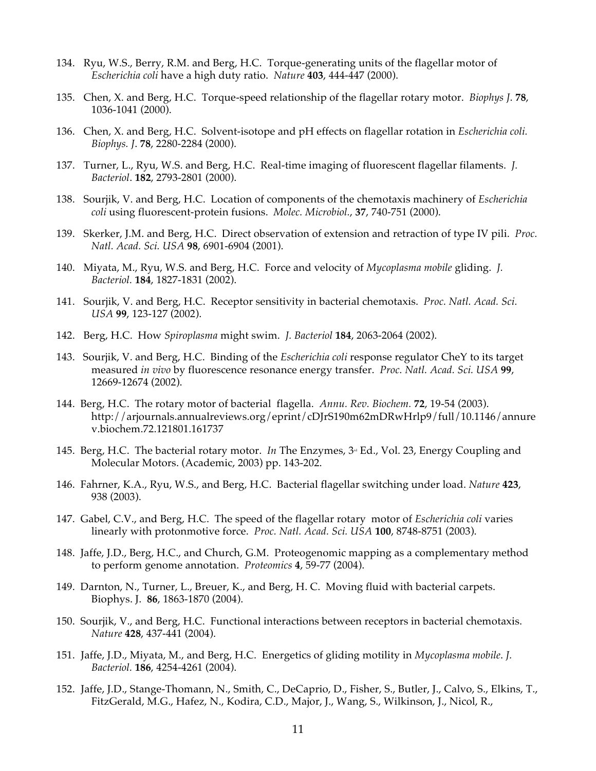- 134. Ryu, W.S., Berry, R.M. and Berg, H.C. Torque-generating units of the flagellar motor of *Escherichia coli* have a high duty ratio. *Nature* **403**, 444-447 (2000).
- 135. Chen, X. and Berg, H.C. Torque-speed relationship of the flagellar rotary motor. *Biophys J*. **78**, 1036-1041 (2000).
- 136. Chen, X. and Berg, H.C. Solvent-isotope and pH effects on flagellar rotation in *Escherichia coli. Biophys. J*. **78**, 2280-2284 (2000).
- 137. Turner, L., Ryu, W.S. and Berg, H.C. Real-time imaging of fluorescent flagellar filaments. *J. Bacteriol*. **182**, 2793-2801 (2000).
- 138. Sourjik, V. and Berg, H.C. Location of components of the chemotaxis machinery of *Escherichia coli* using fluorescent-protein fusions. *Molec. Microbiol.*, **37**, 740-751 (2000).
- 139. Skerker, J.M. and Berg, H.C. Direct observation of extension and retraction of type IV pili. *Proc. Natl. Acad. Sci. USA* **98**, 6901-6904 (2001).
- 140. Miyata, M., Ryu, W.S. and Berg, H.C. Force and velocity of *Mycoplasma mobile* gliding. *J. Bacteriol.* **184**, 1827-1831 (2002).
- 141. Sourjik, V. and Berg, H.C. Receptor sensitivity in bacterial chemotaxis. *Proc. Natl. Acad. Sci. USA* **99**, 123-127 (2002).
- 142. Berg, H.C. How *Spiroplasma* might swim. *J. Bacteriol* **184**, 2063-2064 (2002).
- 143. Sourjik, V. and Berg, H.C. Binding of the *Escherichia coli* response regulator CheY to its target measured *in vivo* by fluorescence resonance energy transfer. *Proc. Natl. Acad. Sci. USA* **99**, 12669-12674 (2002).
- 144. Berg, H.C. The rotary motor of bacterial flagella.*Annu. Rev. Biochem.* **72**, 19-54 (2003). http://arjournals.annualreviews.org/eprint/cDJrS190m62mDRwHrlp9/full/10.1146/annure v.biochem.72.121801.161737
- 145. Berg, H.C. The bacterial rotary motor. *In* The Enzymes,  $3^{\omega}$  Ed., Vol. 23, Energy Coupling and Molecular Motors. (Academic, 2003) pp. 143-202.
- 146. Fahrner, K.A., Ryu, W.S., and Berg, H.C. Bacterial flagellar switching under load. *Nature* **423**, 938 (2003).
- 147. Gabel, C.V., and Berg, H.C. The speed of the flagellar rotary motor of *Escherichia coli* varies linearly with protonmotive force. *Proc. Natl. Acad. Sci. USA* **100**, 8748-8751 (2003).
- 148. Jaffe, J.D., Berg, H.C., and Church, G.M. Proteogenomic mapping as a complementary method to perform genome annotation. *Proteomics* **4**, 59-77 (2004).
- 149. Darnton, N., Turner, L., Breuer, K., and Berg, H. C. Moving fluid with bacterial carpets. Biophys. J. **86**, 1863-1870 (2004).
- 150. Sourjik, V., and Berg, H.C. Functional interactions between receptors in bacterial chemotaxis. *Nature* **428**, 437-441 (2004).
- 151. Jaffe, J.D., Miyata, M., and Berg, H.C. Energetics of gliding motility in *Mycoplasma mobile*. *J. Bacteriol.* **186**, 4254-4261 (2004).
- 152. Jaffe, J.D., Stange-Thomann, N., Smith, C., DeCaprio, D., Fisher, S., Butler, J., Calvo, S., Elkins, T., FitzGerald, M.G., Hafez, N., Kodira, C.D., Major, J., Wang, S., Wilkinson, J., Nicol, R.,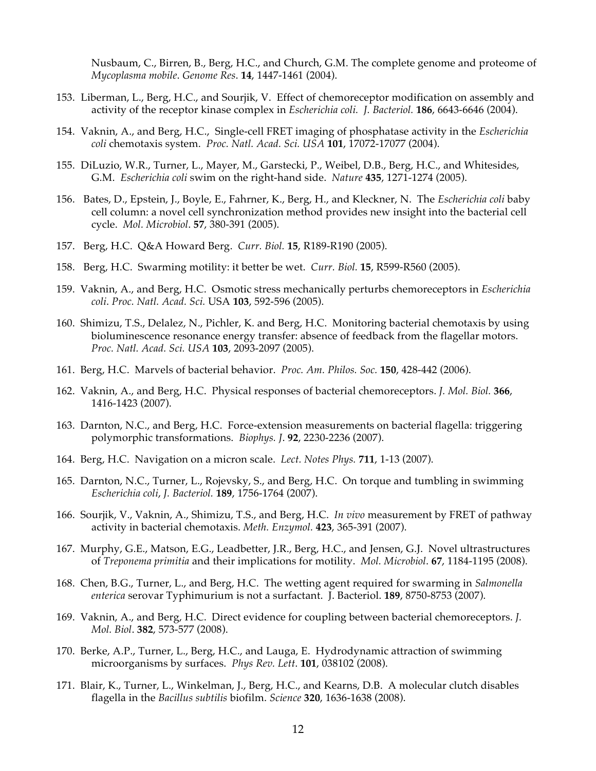Nusbaum, C., Birren, B., Berg, H.C., and Church, G.M. The complete genome and proteome of *Mycoplasma mobile*. *Genome Res*. **14**, 1447-1461 (2004).

- 153. Liberman, L., Berg, H.C., and Sourjik, V. Effect of chemoreceptor modification on assembly and activity of the receptor kinase complex in *Escherichia coli. J. Bacteriol.* **186**, 6643-6646 (2004).
- 154. Vaknin, A., and Berg, H.C., Single-cell FRET imaging of phosphatase activity in the *Escherichia coli* chemotaxis system. *Proc. Natl. Acad. Sci. USA* **101**, 17072-17077 (2004).
- 155. DiLuzio, W.R., Turner, L., Mayer, M., Garstecki, P., Weibel, D.B., Berg, H.C., and Whitesides, G.M. *Escherichia coli* swim on the right-hand side. *Nature* **435**, 1271-1274 (2005).
- 156. Bates, D., Epstein, J., Boyle, E., Fahrner, K., Berg, H., and Kleckner, N. The *Escherichia coli* baby cell column: a novel cell synchronization method provides new insight into the bacterial cell cycle. *Mol. Microbiol*. **57**, 380-391 (2005).
- 157. Berg, H.C. Q&A Howard Berg. *Curr. Biol.* **15**, R189-R190 (2005).
- 158. Berg, H.C. Swarming motility: it better be wet. *Curr. Biol.* **15**, R599-R560 (2005).
- 159. Vaknin, A., and Berg, H.C. Osmotic stress mechanically perturbs chemoreceptors in *Escherichia coli*. *Proc. Natl. Acad. Sci.* USA **103**, 592-596 (2005).
- 160. Shimizu, T.S., Delalez, N., Pichler, K. and Berg, H.C. Monitoring bacterial chemotaxis by using bioluminescence resonance energy transfer: absence of feedback from the flagellar motors. *Proc. Natl. Acad. Sci. USA* **103**, 2093-2097 (2005).
- 161. Berg, H.C. Marvels of bacterial behavior. *Proc. Am. Philos. Soc.* **150**, 428-442 (2006).
- 162. Vaknin, A., and Berg, H.C. Physical responses of bacterial chemoreceptors. *J. Mol. Biol.* **366**, 1416-1423 (2007).
- 163. Darnton, N.C., and Berg, H.C. Force-extension measurements on bacterial flagella: triggering polymorphic transformations. *Biophys. J*. **92**, 2230-2236 (2007).
- 164. Berg, H.C. Navigation on a micron scale. *Lect. Notes Phys.* **711**, 1-13 (2007).
- 165. Darnton, N.C., Turner, L., Rojevsky, S., and Berg, H.C. On torque and tumbling in swimming *Escherichia coli*, *J. Bacteriol.* **189**, 1756-1764 (2007).
- 166. Sourjik, V., Vaknin, A., Shimizu, T.S., and Berg, H.C. *In vivo* measurement by FRET of pathway activity in bacterial chemotaxis. *Meth. Enzymol.* **423**, 365-391 (2007).
- 167. Murphy, G.E., Matson, E.G., Leadbetter, J.R., Berg, H.C., and Jensen, G.J. Novel ultrastructures of *Treponema primitia* and their implications for motility. *Mol. Microbiol*. **67**, 1184-1195 (2008).
- 168. Chen, B.G., Turner, L., and Berg, H.C. The wetting agent required for swarming in *Salmonella enterica* serovar Typhimurium is not a surfactant. J. Bacteriol. **189**, 8750-8753 (2007).
- 169. Vaknin, A., and Berg, H.C. Direct evidence for coupling between bacterial chemoreceptors. *J. Mol. Biol*. **382**, 573-577 (2008).
- 170. Berke, A.P., Turner, L., Berg, H.C., and Lauga, E. Hydrodynamic attraction of swimming microorganisms by surfaces. *Phys Rev. Lett*. **101**, 038102 (2008).
- 171. Blair, K., Turner, L., Winkelman, J., Berg, H.C., and Kearns, D.B. A molecular clutch disables flagella in the *Bacillus subtilis* biofilm. *Science* **320**, 1636-1638 (2008).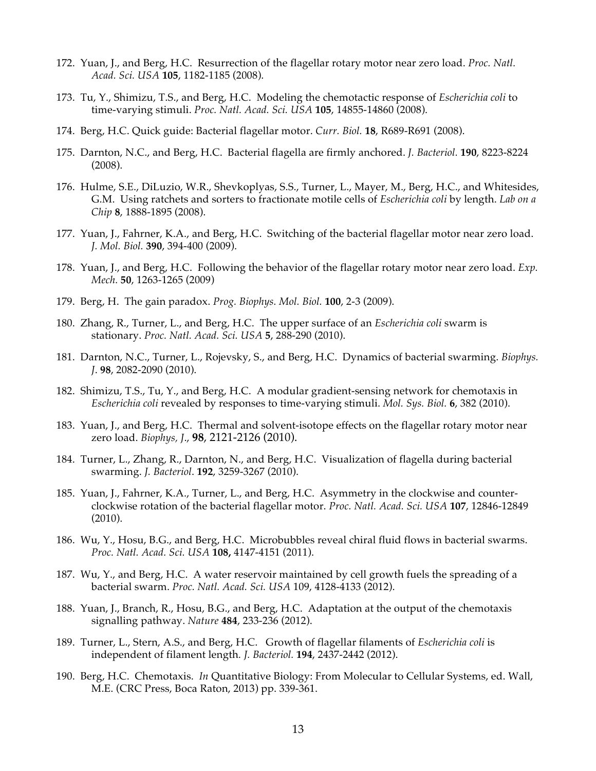- 172. Yuan, J., and Berg, H.C. Resurrection of the flagellar rotary motor near zero load. *Proc. Natl. Acad. Sci. USA* **105**, 1182-1185 (2008).
- 173. Tu, Y., Shimizu, T.S., and Berg, H.C. Modeling the chemotactic response of *Escherichia coli* to time-varying stimuli. *Proc. Natl. Acad. Sci. USA* **105**, 14855-14860 (2008).
- 174. Berg, H.C. Quick guide: Bacterial flagellar motor. *Curr. Biol.* **18**, R689-R691 (2008).
- 175. Darnton, N.C., and Berg, H.C. Bacterial flagella are firmly anchored. *J. Bacteriol.* **190**, 8223-8224 (2008).
- 176. Hulme, S.E., DiLuzio, W.R., Shevkoplyas, S.S., Turner, L., Mayer, M., Berg, H.C., and Whitesides, G.M. Using ratchets and sorters to fractionate motile cells of *Escherichia coli* by length. *Lab on a Chip* **8**, 1888-1895 (2008).
- 177. Yuan, J., Fahrner, K.A., and Berg, H.C. Switching of the bacterial flagellar motor near zero load. *J. Mol. Biol.* **390**, 394-400 (2009).
- 178. Yuan, J., and Berg, H.C. Following the behavior of the flagellar rotary motor near zero load. *Exp. Mech.* **50**, 1263-1265 (2009)
- 179. Berg, H. The gain paradox. *Prog. Biophys. Mol. Biol.* **100**, 2-3 (2009).
- 180. Zhang, R., Turner, L., and Berg, H.C. The upper surface of an *Escherichia coli* swarm is stationary. *Proc. Natl. Acad. Sci. USA* **5**, 288-290 (2010).
- 181. Darnton, N.C., Turner, L., Rojevsky, S., and Berg, H.C. Dynamics of bacterial swarming. *Biophys. J*. **98**, 2082-2090 (2010).
- 182. Shimizu, T.S., Tu, Y., and Berg, H.C. A modular gradient-sensing network for chemotaxis in *Escherichia coli* revealed by responses to time-varying stimuli. *Mol. Sys. Biol.* **6**, 382 (2010).
- 183. Yuan, J., and Berg, H.C. Thermal and solvent-isotope effects on the flagellar rotary motor near zero load. *Biophys, J*., **98**, 2121-2126 (2010).
- 184. Turner, L., Zhang, R., Darnton, N., and Berg, H.C. Visualization of flagella during bacterial swarming. *J. Bacteriol*. **192**, 3259-3267 (2010).
- 185. Yuan, J., Fahrner, K.A., Turner, L., and Berg, H.C. Asymmetry in the clockwise and counterclockwise rotation of the bacterial flagellar motor. *Proc. Natl. Acad. Sci. USA* **107**, 12846-12849 (2010).
- 186. Wu, Y., Hosu, B.G., and Berg, H.C. Microbubbles reveal chiral fluid flows in bacterial swarms. *Proc. Natl. Acad. Sci. USA* **108,** 4147-4151 (2011).
- 187. Wu, Y., and Berg, H.C. A water reservoir maintained by cell growth fuels the spreading of a bacterial swarm. *Proc. Natl. Acad. Sci. USA* 109, 4128-4133 (2012).
- 188. Yuan, J., Branch, R., Hosu, B.G., and Berg, H.C. Adaptation at the output of the chemotaxis signalling pathway. *Nature* **484**, 233-236 (2012).
- 189. Turner, L., Stern, A.S., and Berg, H.C. Growth of flagellar filaments of *Escherichia coli* is independent of filament length*. J. Bacteriol.* **194**, 2437-2442 (2012).
- 190. Berg, H.C. Chemotaxis. *In* Quantitative Biology: From Molecular to Cellular Systems, ed. Wall, M.E. (CRC Press, Boca Raton, 2013) pp. 339-361.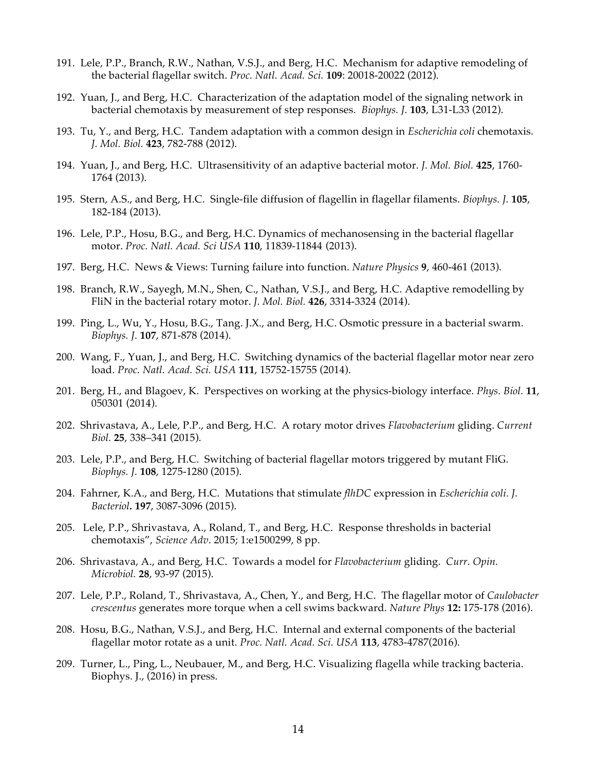- 191. Lele, P.P., Branch, R.W., Nathan, V.S.J., and Berg, H.C. Mechanism for adaptive remodeling of the bacterial flagellar switch. *Proc. Natl. Acad. Sci.* **109**: 20018-20022 (2012).
- 192. Yuan, J., and Berg, H.C. Characterization of the adaptation model of the signaling network in bacterial chemotaxis by measurement of step responses. *Biophys. J.* **103**, L31-L33 (2012).
- 193. Tu, Y., and Berg, H.C. Tandem adaptation with a common design in *Escherichia coli* chemotaxis. *J. Mol. Biol.* **423**, 782-788 (2012).
- 194. Yuan, J., and Berg, H.C. Ultrasensitivity of an adaptive bacterial motor. *J. Mol. Biol.* **425**, 1760- 1764 (2013).
- 195. Stern, A.S., and Berg, H.C. Single-file diffusion of flagellin in flagellar filaments. *Biophys. J.* **105**, 182-184 (2013).
- 196. Lele, P.P., Hosu, B.G., and Berg, H.C. Dynamics of mechanosensing in the bacterial flagellar motor. *Proc. Natl. Acad. Sci USA* **110**, 11839-11844 (2013).
- 197. Berg, H.C. News & Views: Turning failure into function. *Nature Physics* **9**, 460-461 (2013).
- 198. Branch, R.W., Sayegh, M.N., Shen, C., Nathan, V.S.J., and Berg, H.C. Adaptive remodelling by FliN in the bacterial rotary motor. *J. Mol. Biol.* **426**, 3314-3324 (2014).
- 199. Ping, L., Wu, Y., Hosu, B.G., Tang. J.X., and Berg, H.C. Osmotic pressure in a bacterial swarm. *Biophys. J.* **107**, 871-878 (2014).
- 200. Wang, F., Yuan, J., and Berg, H.C. Switching dynamics of the bacterial flagellar motor near zero load. *Proc. Natl. Acad. Sci. USA* **111**, 15752-15755 (2014).
- 201. Berg, H., and Blagoev, K. Perspectives on working at the physics-biology interface. *Phys. Biol.* **11**, 050301 (2014).
- 202. Shrivastava, A., Lele, P.P., and Berg, H.C. A rotary motor drives *Flavobacterium* gliding. *Current Biol.* **25**, 338–341 (2015).
- 203. Lele, P.P., and Berg, H.C. Switching of bacterial flagellar motors triggered by mutant FliG. *Biophys. J.* **108**, 1275-1280 (2015).
- 204. Fahrner, K.A., and Berg, H.C. Mutations that stimulate *flhDC* expression in *Escherichia coli. J. Bacteriol.* **197**, 3087-3096 (2015).
- 205. Lele, P.P., Shrivastava, A., Roland, T., and Berg, H.C. Response thresholds in bacterial chemotaxis", *Science Adv*. 2015; 1:e1500299, 8 pp.
- 206. Shrivastava, A., and Berg, H.C. Towards a model for *Flavobacterium* gliding. *Curr. Opin. Microbiol.* **28**, 93-97 (2015).
- 207. Lele, P.P., Roland, T., Shrivastava, A., Chen, Y., and Berg, H.C. The flagellar motor of *Caulobacter crescentus* generates more torque when a cell swims backward. *Nature Phys* **12:** 175-178 (2016).
- 208. Hosu, B.G., Nathan, V.S.J., and Berg, H.C. Internal and external components of the bacterial flagellar motor rotate as a unit. *Proc. Natl. Acad. Sci. USA* **113**, 4783-4787(2016).
- 209. Turner, L., Ping, L., Neubauer, M., and Berg, H.C. Visualizing flagella while tracking bacteria. Biophys. J., (2016) in press.